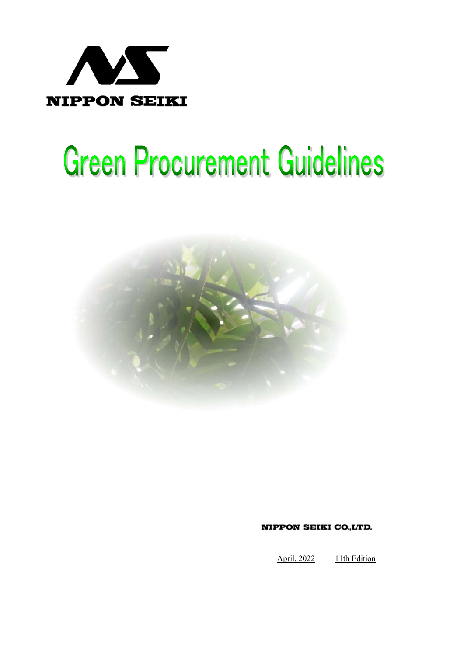

# **Green Procurement Guidelines**



**NIPPON SEIKI CO.,LTD.** 

April, 2022 11th Edition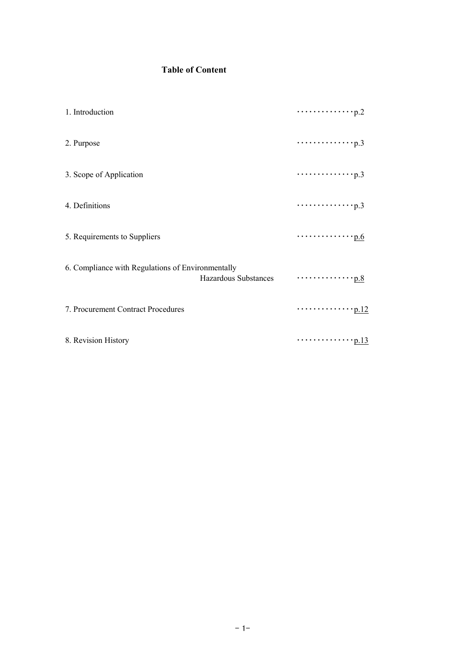# Table of Content

| 1. Introduction                                   |                      | $\cdots \cdots \cdots \cdots \cdots p.2$                      |  |
|---------------------------------------------------|----------------------|---------------------------------------------------------------|--|
| 2. Purpose                                        |                      | $\cdots \cdots \cdots \cdots \cdots p.3$                      |  |
| 3. Scope of Application                           |                      |                                                               |  |
| 4. Definitions                                    |                      | $\cdots \cdots \cdots \cdots \cdots p.3$                      |  |
| 5. Requirements to Suppliers                      |                      | $\cdots \cdots \cdots \cdots p.6$                             |  |
| 6. Compliance with Regulations of Environmentally | Hazardous Substances | $\dots\dots\dots\dots\dots\dots\underline{p.8}$               |  |
| 7. Procurement Contract Procedures                |                      | $\cdots \cdots \cdots \cdots \cdots \underbrace{\text{p}.12}$ |  |
| 8. Revision History                               |                      | $\cdots \cdots \cdots \cdots \cdots p.13$                     |  |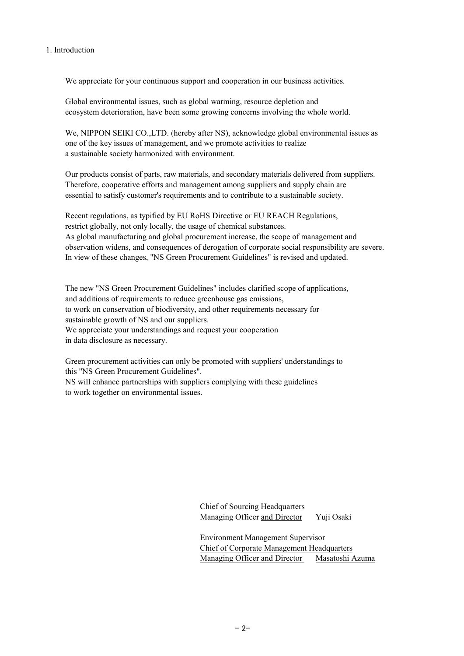#### 1. Introduction

We appreciate for your continuous support and cooperation in our business activities.

Global environmental issues, such as global warming, resource depletion and ecosystem deterioration, have been some growing concerns involving the whole world.

We, NIPPON SEIKI CO., LTD. (hereby after NS), acknowledge global environmental issues as one of the key issues of management, and we promote activities to realize a sustainable society harmonized with environment.

Our products consist of parts, raw materials, and secondary materials delivered from suppliers. Therefore, cooperative efforts and management among suppliers and supply chain are essential to satisfy customer's requirements and to contribute to a sustainable society.

Recent regulations, as typified by EU RoHS Directive or EU REACH Regulations, restrict globally, not only locally, the usage of chemical substances. As global manufacturing and global procurement increase, the scope of management and observation widens, and consequences of derogation of corporate social responsibility are severe. In view of these changes, "NS Green Procurement Guidelines" is revised and updated.

The new "NS Green Procurement Guidelines" includes clarified scope of applications, and additions of requirements to reduce greenhouse gas emissions, to work on conservation of biodiversity, and other requirements necessary for sustainable growth of NS and our suppliers. We appreciate your understandings and request your cooperation in data disclosure as necessary.

Green procurement activities can only be promoted with suppliers' understandings to this "NS Green Procurement Guidelines". NS will enhance partnerships with suppliers complying with these guidelines to work together on environmental issues.

> Chief of Sourcing Headquarters Managing Officer and Director Yuji Osaki

Environment Management Supervisor Chief of Corporate Management Headquarters Managing Officer and Director Masatoshi Azuma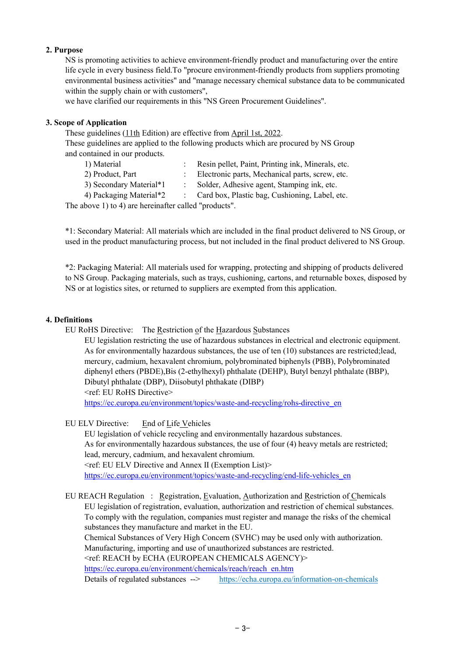## 2. Purpose

NS is promoting activities to achieve environment-friendly product and manufacturing over the entire life cycle in every business field.To "procure environment-friendly products from suppliers promoting environmental business activities" and "manage necessary chemical substance data to be communicated within the supply chain or with customers".

we have clarified our requirements in this "NS Green Procurement Guidelines".

#### 3. Scope of Application

These guidelines (11th Edition) are effective from April 1st, 2022.

These guidelines are applied to the following products which are procured by NS Group and contained in our products.

- 1) Material : Resin pellet, Paint, Printing ink, Minerals, etc. 2) Product, Part : Electronic parts, Mechanical parts, screw, etc.
- 3) Secondary Material\*1 : Solder, Adhesive agent, Stamping ink, etc.

4) Packaging Material\*2 : Card box, Plastic bag, Cushioning, Label, etc.

The above 1) to 4) are hereinafter called "products".

\*1: Secondary Material: All materials which are included in the final product delivered to NS Group, or used in the product manufacturing process, but not included in the final product delivered to NS Group.

\*2: Packaging Material: All materials used for wrapping, protecting and shipping of products delivered to NS Group. Packaging materials, such as trays, cushioning, cartons, and returnable boxes, disposed by NS or at logistics sites, or returned to suppliers are exempted from this application.

#### 4. Definitions

EU RoHS Directive: The Restriction of the Hazardous Substances

<ref: EU RoHS Directive> EU legislation restricting the use of hazardous substances in electrical and electronic equipment. As for environmentally hazardous substances, the use of ten (10) substances are restricted;lead, mercury, cadmium, hexavalent chromium, polybrominated biphenyls (PBB), Polybrominated diphenyl ethers (PBDE),Bis (2-ethylhexyl) phthalate (DEHP), Butyl benzyl phthalate (BBP), Dibutyl phthalate (DBP), Diisobutyl phthakate (DIBP)

https://ec.europa.eu/environment/topics/waste-and-recycling/rohs-directive\_en

EU ELV Directive: End of Life Vehicles

 EU legislation of vehicle recycling and environmentally hazardous substances. As for environmentally hazardous substances, the use of four (4) heavy metals are restricted; lead, mercury, cadmium, and hexavalent chromium. <ref: EU ELV Directive and Annex II (Exemption List)> https://ec.europa.eu/environment/topics/waste-and-recycling/end-life-vehicles\_en

EU REACH Regulation : Registration, Evaluation, Authorization and Restriction of Chemicals EU legislation of registration, evaluation, authorization and restriction of chemical substances. To comply with the regulation, companies must register and manage the risks of the chemical substances they manufacture and market in the EU.

Chemical Substances of Very High Concern (SVHC) may be used only with authorization. Manufacturing, importing and use of unauthorized substances are restricted.

<ref: REACH by ECHA (EUROPEAN CHEMICALS AGENCY)>

https://ec.europa.eu/environment/chemicals/reach/reach\_en.htm

Details of regulated substances --> https://echa.europa.eu/information-on-chemicals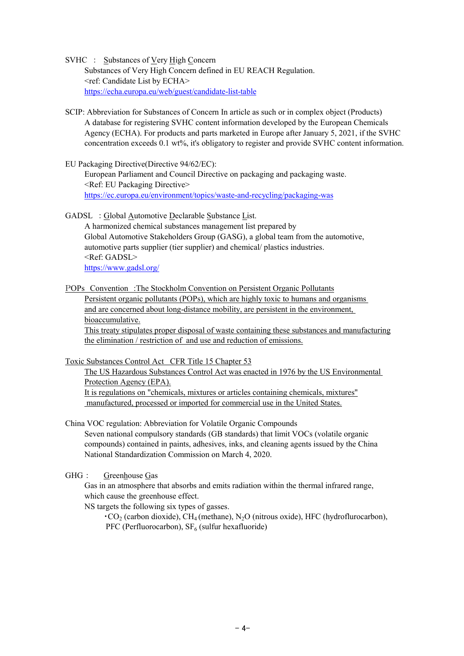SVHC : Substances of Very High Concern Substances of Very High Concern defined in EU REACH Regulation. <ref: Candidate List by ECHA> https://echa.europa.eu/web/guest/candidate-list-table

- SCIP: Abbreviation for Substances of Concern In article as such or in complex object (Products) A database for registering SVHC content information developed by the European Chemicals Agency (ECHA). For products and parts marketed in Europe after January 5, 2021, if the SVHC concentration exceeds 0.1 wt%, it's obligatory to register and provide SVHC content information.
- EU Packaging Directive(Directive 94/62/EC):

European Parliament and Council Directive on packaging and packaging waste. <Ref: EU Packaging Directive> https://ec.europa.eu/environment/topics/waste-and-recycling/packaging-was

GADSL : Global Automotive Declarable Substance List.

A harmonized chemical substances management list prepared by Global Automotive Stakeholders Group (GASG), a global team from the automotive, automotive parts supplier (tier supplier) and chemical/ plastics industries. <Ref: GADSL> https://www.gadsl.org/

POPs Convention :The Stockholm Convention on Persistent Organic Pollutants Persistent organic pollutants (POPs), which are highly toxic to humans and organisms and are concerned about long-distance mobility, are persistent in the environment, bioaccumulative.

This treaty stipulates proper disposal of waste containing these substances and manufacturing the elimination / restriction of and use and reduction of emissions.

Toxic Substances Control Act CFR Title 15 Chapter 53

The US Hazardous Substances Control Act was enacted in 1976 by the US Environmental Protection Agency (EPA). It is regulations on "chemicals, mixtures or articles containing chemicals, mixtures" manufactured, processed or imported for commercial use in the United States.

China VOC regulation: Abbreviation for Volatile Organic Compounds Seven national compulsory standards (GB standards) that limit VOCs (volatile organic compounds) contained in paints, adhesives, inks, and cleaning agents issued by the China National Standardization Commission on March 4, 2020.

GHG : Greenhouse Gas

Gas in an atmosphere that absorbs and emits radiation within the thermal infrared range, which cause the greenhouse effect.

NS targets the following six types of gasses.

 $\cdot$ CO<sub>2</sub> (carbon dioxide), CH<sub>4</sub> (methane), N<sub>2</sub>O (nitrous oxide), HFC (hydroflurocarbon), PFC (Perfluorocarbon),  $SF_6$  (sulfur hexafluoride)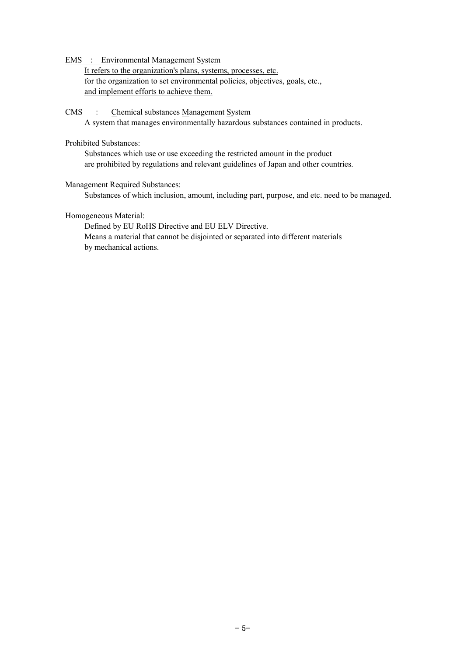EMS : Environmental Management System

It refers to the organization's plans, systems, processes, etc. for the organization to set environmental policies, objectives, goals, etc., and implement efforts to achieve them.

CMS : Chemical substances Management System A system that manages environmentally hazardous substances contained in products.

## Prohibited Substances:

Substances which use or use exceeding the restricted amount in the product are prohibited by regulations and relevant guidelines of Japan and other countries.

#### Management Required Substances:

Substances of which inclusion, amount, including part, purpose, and etc. need to be managed.

#### Homogeneous Material:

Defined by EU RoHS Directive and EU ELV Directive. Means a material that cannot be disjointed or separated into different materials by mechanical actions.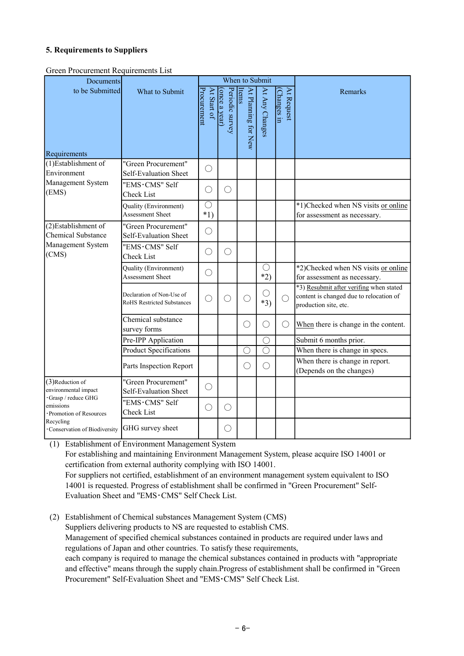## 5. Requirements to Suppliers

Green Procurement Requirements List

| Documents                                                 |                                                                | When to Submit             |                                  |                              |                     |                           |                                                                                                             |
|-----------------------------------------------------------|----------------------------------------------------------------|----------------------------|----------------------------------|------------------------------|---------------------|---------------------------|-------------------------------------------------------------------------------------------------------------|
| to be Submitted<br>Requirements                           | What to Submit                                                 | Procurement<br>At Start of | (once a year)<br>Periodic survey | At Planning for New<br>Items | At Any Changes      | At Request<br>(Changes in | Remarks                                                                                                     |
| (1)Establishment of                                       | "Green Procurement"                                            | $\bigcirc$                 |                                  |                              |                     |                           |                                                                                                             |
| Environment<br>Management System                          | Self-Evaluation Sheet<br>"EMS·CMS" Self                        |                            |                                  |                              |                     |                           |                                                                                                             |
| (EMS)                                                     | Check List                                                     | $\bigcirc$                 | $\bigcirc$                       |                              |                     |                           |                                                                                                             |
|                                                           | Quality (Environment)                                          | $\bigcirc$                 |                                  |                              |                     |                           | *1)Checked when NS visits or online                                                                         |
|                                                           | Assessment Sheet                                               | $*1)$                      |                                  |                              |                     |                           | for assessment as necessary.                                                                                |
| (2) Establishment of<br><b>Chemical Substance</b>         | "Green Procurement"<br>Self-Evaluation Sheet                   | $\bigcirc$                 |                                  |                              |                     |                           |                                                                                                             |
| Management System<br>(CMS)                                | "EMS·CMS" Self<br>Check List                                   | O                          | ◯                                |                              |                     |                           |                                                                                                             |
|                                                           | Quality (Environment)<br><b>Assessment Sheet</b>               | $\bigcirc$                 |                                  |                              | $\bigcirc$<br>$*2)$ |                           | *2)Checked when NS visits or online<br>for assessment as necessary.                                         |
|                                                           | Declaration of Non-Use of<br><b>RoHS Restricted Substances</b> | $(\ )$                     | ()                               | ()                           | ()<br>$*3)$         | $\bigcirc$                | *3) Resubmit after verifing when stated<br>content is changed due to relocation of<br>production site, etc. |
|                                                           | Chemical substance<br>survey forms                             |                            |                                  | $\bigcirc$                   | ()                  | $\bigcirc$                | When there is change in the content.                                                                        |
|                                                           | Pre-IPP Application                                            |                            |                                  |                              | $\bigcirc$          |                           | Submit 6 months prior.                                                                                      |
|                                                           | <b>Product Specifications</b>                                  |                            |                                  | $\bigcirc$                   | ◯                   |                           | When there is change in specs.                                                                              |
|                                                           | Parts Inspection Report                                        |                            |                                  | $\left(\right)$              | $\left(\right)$     |                           | When there is change in report.<br>(Depends on the changes)                                                 |
| (3) Reduction of<br>environmental impact                  | "Green Procurement"<br>Self-Evaluation Sheet                   | $\bigcirc$                 |                                  |                              |                     |                           |                                                                                                             |
| Grasp / reduce GHG<br>emissions<br>Promotion of Resources | "EMS·CMS" Self<br>Check List                                   | $\left(\right)$            | $\left(\right)$                  |                              |                     |                           |                                                                                                             |
| Recycling<br>Conservation of Biodiversity                 | GHG survey sheet                                               |                            | $\bigcirc$                       |                              |                     |                           |                                                                                                             |

(1) Establishment of Environment Management System For establishing and maintaining Environment Management System, please acquire ISO 14001 or certification from external authority complying with ISO 14001. For suppliers not certified, establishment of an environment management system equivalent to ISO 14001 is requested. Progress of establishment shall be confirmed in "Green Procurement" Self-Evaluation Sheet and "EMS・CMS" Self Check List.

(2) Establishment of Chemical substances Management System (CMS) Suppliers delivering products to NS are requested to establish CMS. Management of specified chemical substances contained in products are required under laws and regulations of Japan and other countries. To satisfy these requirements, each company is required to manage the chemical substances contained in products with "appropriate and effective" means through the supply chain.Progress of establishment shall be confirmed in "Green Procurement" Self-Evaluation Sheet and "EMS・CMS" Self Check List.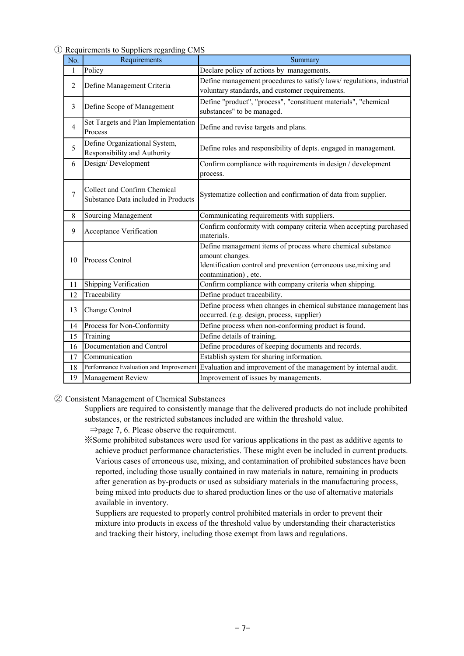#### ① Requirements to Suppliers regarding CMS

| No.            | Requirements                                                        | Summary                                                                                                                                                                    |
|----------------|---------------------------------------------------------------------|----------------------------------------------------------------------------------------------------------------------------------------------------------------------------|
| $\mathbf{1}$   | Policy                                                              | Declare policy of actions by managements.                                                                                                                                  |
| 2              | Define Management Criteria                                          | Define management procedures to satisfy laws/regulations, industrial<br>voluntary standards, and customer requirements.                                                    |
| 3              | Define Scope of Management                                          | Define "product", "process", "constituent materials", "chemical<br>substances" to be managed.                                                                              |
| $\overline{4}$ | Set Targets and Plan Implementation<br>Process                      | Define and revise targets and plans.                                                                                                                                       |
| 5              | Define Organizational System,<br>Responsibility and Authority       | Define roles and responsibility of depts. engaged in management.                                                                                                           |
| 6              | Design/Development                                                  | Confirm compliance with requirements in design / development<br>process.                                                                                                   |
| 7              | Collect and Confirm Chemical<br>Substance Data included in Products | Systematize collection and confirmation of data from supplier.                                                                                                             |
| 8              | Sourcing Management                                                 | Communicating requirements with suppliers.                                                                                                                                 |
| 9              | Acceptance Verification                                             | Confirm conformity with company criteria when accepting purchased<br>materials.                                                                                            |
| 10             | Process Control                                                     | Define management items of process where chemical substance<br>amount changes.<br>Identification control and prevention (erroneous use, mixing and<br>contamination), etc. |
| 11             | Shipping Verification                                               | Confirm compliance with company criteria when shipping.                                                                                                                    |
| 12             | Traceability                                                        | Define product traceability.                                                                                                                                               |
| 13             | Change Control                                                      | Define process when changes in chemical substance management has<br>occurred. (e.g. design, process, supplier)                                                             |
| 14             | Process for Non-Conformity                                          | Define process when non-conforming product is found.                                                                                                                       |
| 15             | Training                                                            | Define details of training.                                                                                                                                                |
| 16             | Documentation and Control                                           | Define procedures of keeping documents and records.                                                                                                                        |
| 17             | Communication                                                       | Establish system for sharing information.                                                                                                                                  |
| 18             | Performance Evaluation and Improvement                              | Evaluation and improvement of the management by internal audit.                                                                                                            |
| 19             | Management Review                                                   | Improvement of issues by managements.                                                                                                                                      |

#### ② Consistent Management of Chemical Substances

Suppliers are required to consistently manage that the delivered products do not include prohibited substances, or the restricted substances included are within the threshold value.

- ⇒page 7, 6. Please observe the requirement.
- ※Some prohibited substances were used for various applications in the past as additive agents to achieve product performance characteristics. These might even be included in current products. Various cases of erroneous use, mixing, and contamination of prohibited substances have been reported, including those usually contained in raw materials in nature, remaining in products after generation as by-products or used as subsidiary materials in the manufacturing process, being mixed into products due to shared production lines or the use of alternative materials available in inventory.

 Suppliers are requested to properly control prohibited materials in order to prevent their mixture into products in excess of the threshold value by understanding their characteristics and tracking their history, including those exempt from laws and regulations.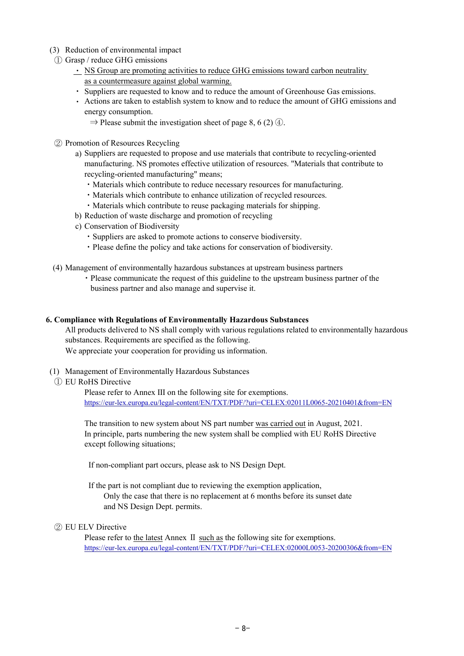- (3) Reduction of environmental impact
- ① Grasp / reduce GHG emissions
	- NS Group are promoting activities to reduce GHG emissions toward carbon neutrality as a countermeasure against global warming.
	- ・ Suppliers are requested to know and to reduce the amount of Greenhouse Gas emissions.
	- ・ Actions are taken to establish system to know and to reduce the amount of GHG emissions and energy consumption.
		- $\Rightarrow$  Please submit the investigation sheet of page 8, 6 (2)  $\circled{4}$ .
- ② Promotion of Resources Recycling
	- a) Suppliers are requested to propose and use materials that contribute to recycling-oriented manufacturing. NS promotes effective utilization of resources. "Materials that contribute to recycling-oriented manufacturing" means;
		- ・Materials which contribute to reduce necessary resources for manufacturing.
		- ・Materials which contribute to enhance utilization of recycled resources.
		- ・Materials which contribute to reuse packaging materials for shipping.
	- b) Reduction of waste discharge and promotion of recycling
	- c) Conservation of Biodiversity
		- ・Suppliers are asked to promote actions to conserve biodiversity.
		- ・Please define the policy and take actions for conservation of biodiversity.
- (4) Management of environmentally hazardous substances at upstream business partners
	- ・ Please communicate the request of this guideline to the upstream business partner of the business partner and also manage and supervise it.

#### 6. Compliance with Regulations of Environmentally Hazardous Substances

We appreciate your cooperation for providing us information. All products delivered to NS shall comply with various regulations related to environmentally hazardous substances. Requirements are specified as the following.

- (1) Management of Environmentally Hazardous Substances
- ① EU RoHS Directive

Please refer to Annex III on the following site for exemptions. https://eur-lex.europa.eu/legal-content/EN/TXT/PDF/?uri=CELEX:02011L0065-20210401&from=EN

The transition to new system about NS part number was carried out in August, 2021. In principle, parts numbering the new system shall be complied with EU RoHS Directive except following situations;

If non-compliant part occurs, please ask to NS Design Dept.

 If the part is not compliant due to reviewing the exemption application, Only the case that there is no replacement at 6 months before its sunset date and NS Design Dept. permits.

#### ② EU ELV Directive

Please refer to the latest Annex Ⅱ such as the following site for exemptions. https://eur-lex.europa.eu/legal-content/EN/TXT/PDF/?uri=CELEX:02000L0053-20200306&from=EN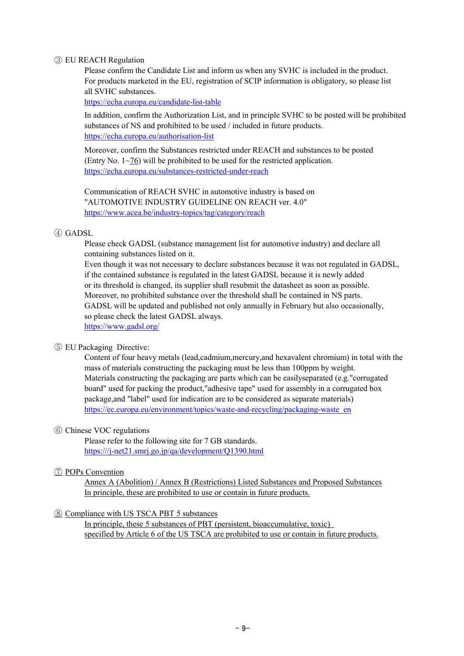#### ③ EU REACH Regulation

Please confirm the Candidate List and inform us when any SVHC is included in the product. For products marketed in the EU, registration of SCIP information is obligatory, so please list all SVHC substances.

https://echa.europa.eu/candidate-list-table

https://echa.europa.eu/authorisation-list In addition, confirm the Authorization List, and in principle SVHC to be posted will be prohibited substances of NS and prohibited to be used / included in future products.

Moreover, confirm the Substances restricted under REACH and substances to be posted (Entry No. 1~76) will be prohibited to be used for the restricted application. https://echa.europa.eu/substances-restricted-under-reach

Communication of REACH SVHC in automotive industry is based on "AUTOMOTIVE INDUSTRY GUIDELINE ON REACH ver. 4.0" https://www.acea.be/industry-topics/tag/category/reach

#### ④ GADSL

Please check GADSL (substance management list for automotive industry) and declare all containing substances listed on it.

Even though it was not necessary to declare substances because it was not regulated in GADSL, if the contained substance is regulated in the latest GADSL because it is newly added or its threshold is changed, its supplier shall resubmit the datasheet as soon as possible. Moreover, no prohibited substance over the threshold shall be contained in NS parts. GADSL will be updated and published not only annually in February but also occasionally, so please check the latest GADSL always. https://www.gadsl.org/

#### ⑤ EU Packaging Directive:

https://ec.europa.eu/environment/topics/waste-and-recycling/packaging-waste\_en Materials constructing the packaging are parts which can be easilyseparated (e.g."corrugated board" used for packing the product,"adhesive tape" used for assembly in a corrugated box package,and "label" used for indication are to be considered as separate materials) Content of four heavy metals (lead,cadmium,mercury,and hexavalent chromium) in total with the mass of materials constructing the packaging must be less than 100ppm by weight.

#### ⑥ Chinese VOC regulations

Please refer to the following site for 7 GB standards. https:///j-net21.smrj.go.jp/qa/development/Q1390.html

#### ⑦ POPs Convention

In principle, these are prohibited to use or contain in future products. Annex A (Abolition) / Annex B (Restrictions) Listed Substances and Proposed Substances

#### ⑧ Compliance with US TSCA PBT 5 substances

In principle, these 5 substances of PBT (persistent, bioaccumulative, toxic) specified by Article 6 of the US TSCA are prohibited to use or contain in future products.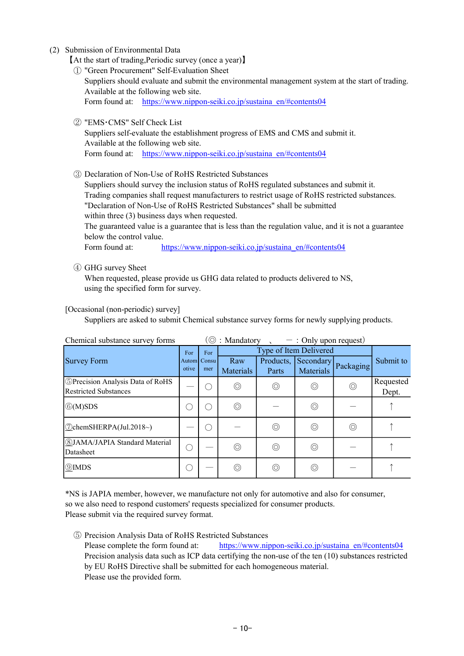(2) Submission of Environmental Data

【At the start of trading,Periodic survey (once a year)】

- ① "Green Procurement" Self-Evaluation Sheet
	- Suppliers should evaluate and submit the environmental management system at the start of trading. Available at the following web site. Form found at: https://www.nippon-seiki.co.jp/sustaina\_en/#contents04
- ② "EMS・CMS" Self Check List

Suppliers self-evaluate the establishment progress of EMS and CMS and submit it. Available at the following web site. Form found at: https://www.nippon-seiki.co.jp/sustaina\_en/#contents04

③ Declaration of Non-Use of RoHS Restricted Substances

Suppliers should survey the inclusion status of RoHS regulated substances and submit it. Trading companies shall request manufacturers to restrict usage of RoHS restricted substances. "Declaration of Non-Use of RoHS Restricted Substances" shall be submitted within three (3) business days when requested. The guaranteed value is a guarantee that is less than the regulation value, and it is not a guarantee below the control value.

Form found at: https://www.nippon-seiki.co.jp/sustaina\_en/#contents04

## ④ GHG survey Sheet

When requested, please provide us GHG data related to products delivered to NS, using the specified form for survey.

## [Occasional (non-periodic) survey]

Suppliers are asked to submit Chemical substance survey forms for newly supplying products.

|                                                                         | Chemical substance survey forms<br>$\cup$ . Mandatory<br>$\therefore$ Only upon request |                           |                         |                    |                        |                |                    |
|-------------------------------------------------------------------------|-----------------------------------------------------------------------------------------|---------------------------|-------------------------|--------------------|------------------------|----------------|--------------------|
| <b>Survey Form</b>                                                      |                                                                                         | For<br>Autom Consu<br>mer | Type of Item Delivered  |                    |                        |                |                    |
|                                                                         |                                                                                         |                           | Raw<br><b>Materials</b> | Products,<br>Parts | Secondary<br>Materials | Packaging      | Submit to          |
| <b>SPrecision Analysis Data of RoHS</b><br><b>Restricted Substances</b> |                                                                                         |                           | $\circledcirc$          | $\circledcirc$     | $\circledcirc$         | $\circledcirc$ | Requested<br>Dept. |
| $\circledR(M)$ SDS                                                      |                                                                                         |                           | $\circledcirc$          |                    | $\circledcirc$         |                |                    |
| $\Diamond$ chemSHERPA(Jul.2018~)                                        |                                                                                         |                           |                         | $\circledcirc$     | $\circledcirc$         | $\circledcirc$ |                    |
| <b>8JAMA/JAPIA Standard Material</b><br>Datasheet                       |                                                                                         |                           | $\circledcirc$          | ⊚                  | $\circledcirc$         |                |                    |
| <b>9</b> IMDS                                                           |                                                                                         |                           | $\circledcirc$          | ⊚                  | $\circledcirc$         |                |                    |

 $C$  survey forms  $\left(\widehat{\mathcal{O}}\right)$  Mandatory  $\left(\widehat{\mathcal{O}}\right)$  . Mandatory  $\left(\widehat{\mathcal{O}}\right)$  . Only upon request)

\*NS is JAPIA member, however, we manufacture not only for automotive and also for consumer, so we also need to respond customers' requests specialized for consumer products. Please submit via the required survey format.

⑤ Precision Analysis Data of RoHS Restricted Substances Please complete the form found at: https://www.nippon-seiki.co.jp/sustaina\_en/#contents04 Please use the provided form. Precision analysis data such as ICP data certifying the non-use of the ten (10) substances restricted by EU RoHS Directive shall be submitted for each homogeneous material.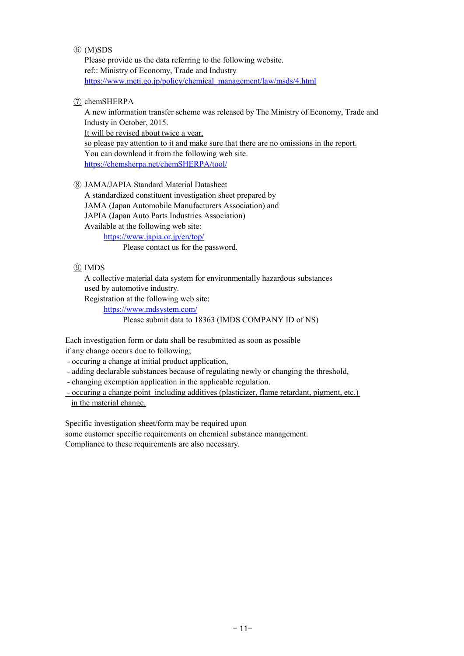### ⑥ (M)SDS

Please provide us the data referring to the following website. ref:: Ministry of Economy, Trade and Industry https://www.meti.go.jp/policy/chemical\_management/law/msds/4.html

## ⑦ chemSHERPA

A new information transfer scheme was released by The Ministry of Economy, Trade and Industy in October, 2015.

It will be revised about twice a year,

so please pay attention to it and make sure that there are no omissions in the report. You can download it from the following web site. https://chemsherpa.net/chemSHERPA/tool/

⑧ JAMA/JAPIA Standard Material Datasheet

A standardized constituent investigation sheet prepared by JAMA (Japan Automobile Manufacturers Association) and JAPIA (Japan Auto Parts Industries Association)

Available at the following web site:

https://www.japia.or.jp/en/top/

Please contact us for the password.

## ⑨ IMDS

A collective material data system for environmentally hazardous substances used by automotive industry.

Registration at the following web site:

https://www.mdsystem.com/

Please submit data to 18363 (IMDS COMPANY ID of NS)

Each investigation form or data shall be resubmitted as soon as possible if any change occurs due to following;

- occuring a change at initial product application,

- adding declarable substances because of regulating newly or changing the threshold,

- changing exemption application in the applicable regulation.

 - occuring a change point including additives (plasticizer, flame retardant, pigment, etc.) in the material change.

Specific investigation sheet/form may be required upon

some customer specific requirements on chemical substance management. Compliance to these requirements are also necessary.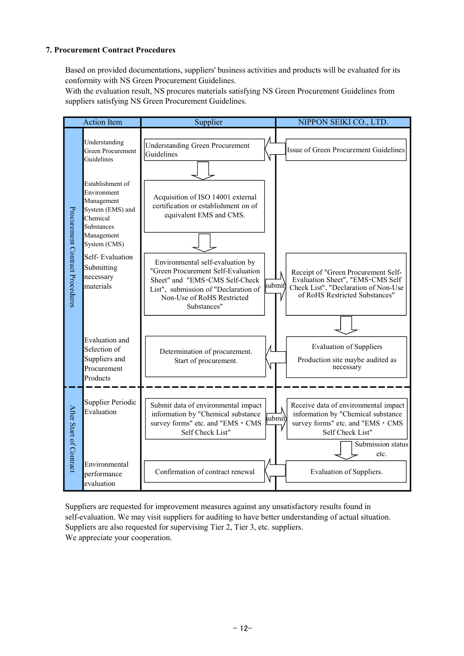## 7. Procurement Contract Procedures

Based on provided documentations, suppliers' business activities and products will be evaluated for its conformity with NS Green Procurement Guidelines.

With the evaluation result, NS procures materials satisfying NS Green Procurement Guidelines from suppliers satisfying NS Green Procurement Guidelines.



Suppliers are requested for improvement measures against any unsatisfactory results found in self-evaluation. We may visit suppliers for auditing to have better understanding of actual situation. Suppliers are also requested for supervising Tier 2, Tier 3, etc. suppliers. We appreciate your cooperation.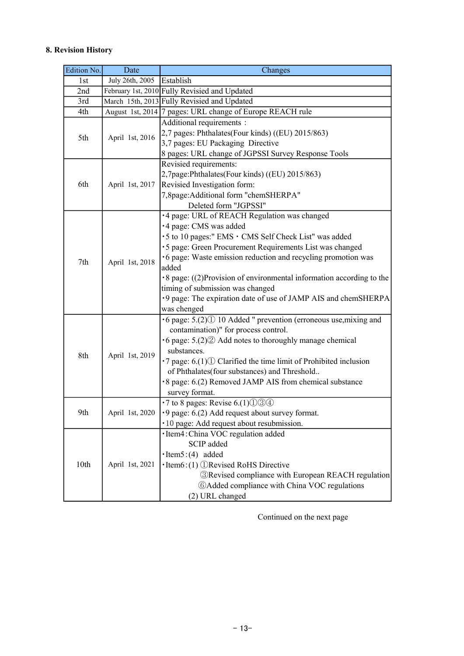## 8. Revision History

| Edition No. | Date            | Changes                                                                         |  |  |  |  |
|-------------|-----------------|---------------------------------------------------------------------------------|--|--|--|--|
| 1st         | July 26th, 2005 | Establish                                                                       |  |  |  |  |
| 2nd         |                 | February 1st, 2010 Fully Revisied and Updated                                   |  |  |  |  |
| 3rd         |                 | March 15th, 2013 Fully Revisied and Updated                                     |  |  |  |  |
| 4th         |                 | August 1st, 2014 7 pages: URL change of Europe REACH rule                       |  |  |  |  |
|             |                 | Additional requirements :                                                       |  |  |  |  |
| 5th         |                 | 2,7 pages: Phthalates(Four kinds) ((EU) 2015/863)                               |  |  |  |  |
|             | April 1st, 2016 | 3,7 pages: EU Packaging Directive                                               |  |  |  |  |
|             |                 | 8 pages: URL change of JGPSSI Survey Response Tools                             |  |  |  |  |
|             |                 | Revisied requirements:                                                          |  |  |  |  |
|             |                 | 2,7page:Phthalates(Four kinds) ((EU) 2015/863)                                  |  |  |  |  |
| 6th         | April 1st, 2017 | Revisied Investigation form:                                                    |  |  |  |  |
|             |                 | 7,8page: Additional form "chemSHERPA"                                           |  |  |  |  |
|             |                 | Deleted form "JGPSSI"                                                           |  |  |  |  |
|             |                 | ·4 page: URL of REACH Regulation was changed                                    |  |  |  |  |
|             |                 | ·4 page: CMS was added                                                          |  |  |  |  |
|             |                 | •5 to 10 pages:" EMS • CMS Self Check List" was added                           |  |  |  |  |
|             |                 | •5 page: Green Procurement Requirements List was changed                        |  |  |  |  |
|             |                 | •6 page: Waste emission reduction and recycling promotion was                   |  |  |  |  |
| 7th         | April 1st, 2018 | added                                                                           |  |  |  |  |
|             |                 | $\cdot$ 8 page: ((2) Provision of environmental information according to the    |  |  |  |  |
|             |                 | timing of submission was changed                                                |  |  |  |  |
|             |                 | ·9 page: The expiration date of use of JAMP AIS and chemSHERPA                  |  |  |  |  |
|             |                 | was chenged                                                                     |  |  |  |  |
|             |                 | $\cdot$ 6 page: 5.(2) $\circ$ 10 Added " prevention (erroneous use, mixing and  |  |  |  |  |
|             |                 | contamination)" for process control.                                            |  |  |  |  |
|             |                 | $\cdot$ 6 page: 5.(2) $\circled{2}$ Add notes to thoroughly manage chemical     |  |  |  |  |
|             |                 | substances.                                                                     |  |  |  |  |
| 8th         | April 1st, 2019 | $\cdot$ 7 page: 6.(1) $\Omega$ Clarified the time limit of Prohibited inclusion |  |  |  |  |
|             |                 | of Phthalates(four substances) and Threshold                                    |  |  |  |  |
|             |                 | •8 page: 6.(2) Removed JAMP AIS from chemical substance                         |  |  |  |  |
|             |                 | survey format.                                                                  |  |  |  |  |
|             |                 | $\cdot$ 7 to 8 pages: Revise 6.(1) $\circ$ $\circ$ $\circ$                      |  |  |  |  |
| 9th         | April 1st, 2020 | ·9 page: 6.(2) Add request about survey format.                                 |  |  |  |  |
|             |                 | · 10 page: Add request about resubmission.                                      |  |  |  |  |
| 10th        |                 | ·Item4: China VOC regulation added                                              |  |  |  |  |
|             |                 | SCIP added                                                                      |  |  |  |  |
|             |                 | $\cdot$ Item $5:(4)$ added                                                      |  |  |  |  |
|             | April 1st, 2021 | $\cdot$ Item $6$ :(1) $\circ$ Revised RoHS Directive                            |  |  |  |  |
|             |                 | <b>3</b> Revised compliance with European REACH regulation                      |  |  |  |  |
|             |                 | <b>6 Added compliance with China VOC regulations</b>                            |  |  |  |  |
|             |                 | (2) URL changed                                                                 |  |  |  |  |

Continued on the next page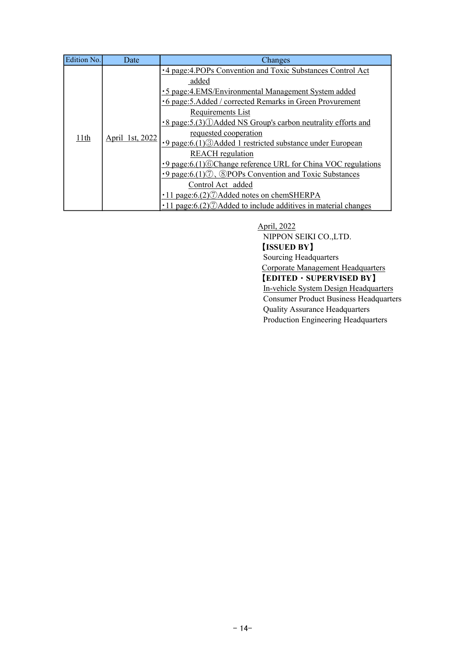| Edition No. | Date                    | Changes                                                                                 |
|-------------|-------------------------|-----------------------------------------------------------------------------------------|
|             |                         | •4 page:4.POPs Convention and Toxic Substances Control Act                              |
|             |                         | added                                                                                   |
|             |                         | •5 page:4.EMS/Environmental Management System added                                     |
|             |                         | •6 page: 5. Added / corrected Remarks in Green Provurement                              |
|             | 11th<br>April 1st, 2022 | Requirements List                                                                       |
|             |                         | •8 page:5.(3) (1) Added NS Group's carbon neutrality efforts and                        |
|             |                         | requested cooperation                                                                   |
|             |                         | •9 page:6.(1) 3 Added 1 restricted substance under European                             |
|             |                         | <b>REACH</b> regulation                                                                 |
|             |                         | •9 page:6.(1) 6 Change reference URL for China VOC regulations                          |
|             |                         | $\cdot$ 9 page:6.(1) $\circled{7}$ , $\circled{8}$ POPs Convention and Toxic Substances |
|             |                         | Control Act added                                                                       |
|             |                         | $\cdot$ 11 page:6.(2) $\circled{7}$ Added notes on chemSHERPA                           |
|             |                         | $\cdot$ 11 page:6.(2) $\circled{7}$ Added to include additives in material changes      |

April, 2022 NIPPON SEIKI CO.,LTD. 【ISSUED BY】 Sourcing Headquarters Corporate Management Headquarters 【EDITED・SUPERVISED BY】 In-vehicle System Design Headquarters Consumer Product Business Headquarters Quality Assurance Headquarters Production Engineering Headquarters